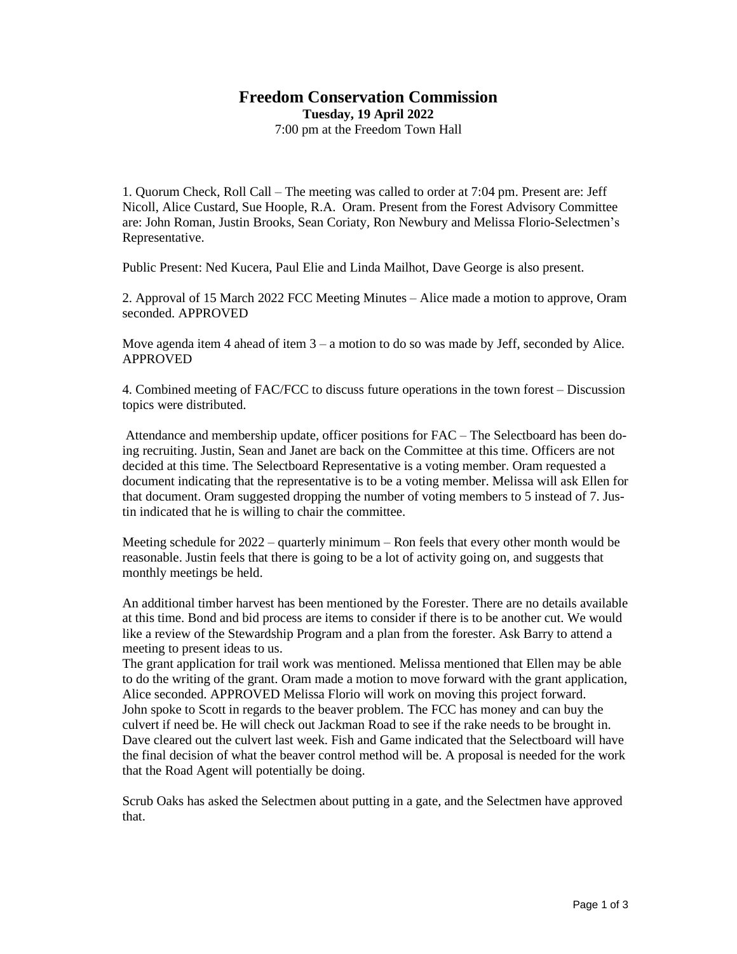## **Freedom Conservation Commission**

**Tuesday, 19 April 2022**

7:00 pm at the Freedom Town Hall

1. Quorum Check, Roll Call – The meeting was called to order at 7:04 pm. Present are: Jeff Nicoll, Alice Custard, Sue Hoople, R.A. Oram. Present from the Forest Advisory Committee are: John Roman, Justin Brooks, Sean Coriaty, Ron Newbury and Melissa Florio-Selectmen's Representative.

Public Present: Ned Kucera, Paul Elie and Linda Mailhot, Dave George is also present.

2. Approval of 15 March 2022 FCC Meeting Minutes – Alice made a motion to approve, Oram seconded. APPROVED

Move agenda item 4 ahead of item  $3 - a$  motion to do so was made by Jeff, seconded by Alice. APPROVED

4. Combined meeting of FAC/FCC to discuss future operations in the town forest – Discussion topics were distributed.

Attendance and membership update, officer positions for FAC – The Selectboard has been doing recruiting. Justin, Sean and Janet are back on the Committee at this time. Officers are not decided at this time. The Selectboard Representative is a voting member. Oram requested a document indicating that the representative is to be a voting member. Melissa will ask Ellen for that document. Oram suggested dropping the number of voting members to 5 instead of 7. Justin indicated that he is willing to chair the committee.

Meeting schedule for 2022 – quarterly minimum – Ron feels that every other month would be reasonable. Justin feels that there is going to be a lot of activity going on, and suggests that monthly meetings be held.

An additional timber harvest has been mentioned by the Forester. There are no details available at this time. Bond and bid process are items to consider if there is to be another cut. We would like a review of the Stewardship Program and a plan from the forester. Ask Barry to attend a meeting to present ideas to us.

The grant application for trail work was mentioned. Melissa mentioned that Ellen may be able to do the writing of the grant. Oram made a motion to move forward with the grant application, Alice seconded. APPROVED Melissa Florio will work on moving this project forward. John spoke to Scott in regards to the beaver problem. The FCC has money and can buy the culvert if need be. He will check out Jackman Road to see if the rake needs to be brought in. Dave cleared out the culvert last week. Fish and Game indicated that the Selectboard will have the final decision of what the beaver control method will be. A proposal is needed for the work that the Road Agent will potentially be doing.

Scrub Oaks has asked the Selectmen about putting in a gate, and the Selectmen have approved that.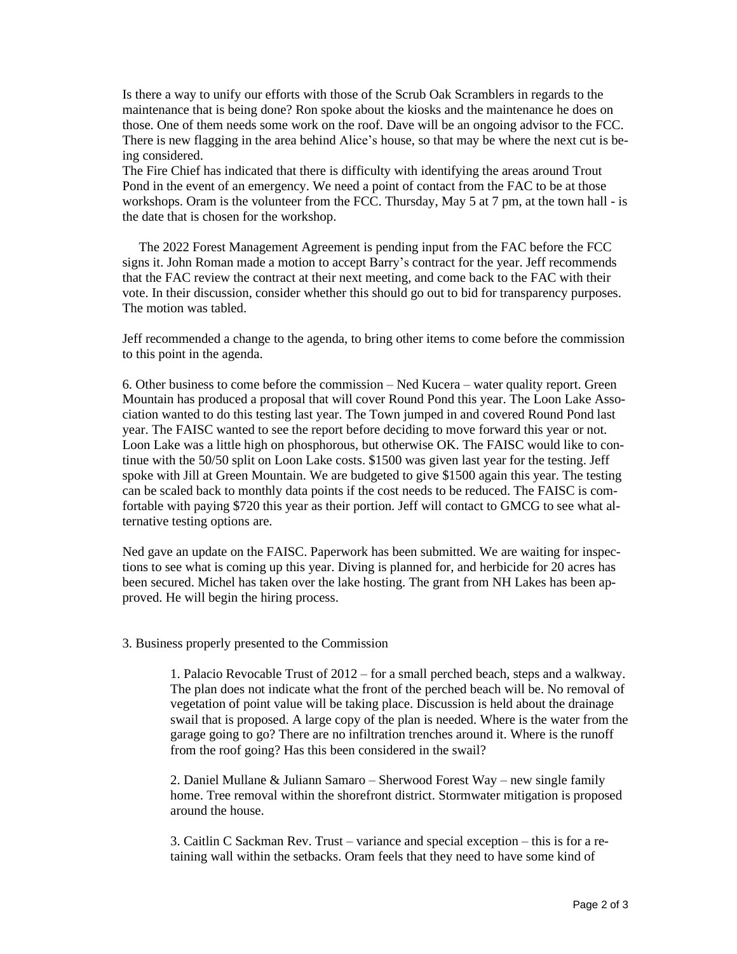Is there a way to unify our efforts with those of the Scrub Oak Scramblers in regards to the maintenance that is being done? Ron spoke about the kiosks and the maintenance he does on those. One of them needs some work on the roof. Dave will be an ongoing advisor to the FCC. There is new flagging in the area behind Alice's house, so that may be where the next cut is being considered.

The Fire Chief has indicated that there is difficulty with identifying the areas around Trout Pond in the event of an emergency. We need a point of contact from the FAC to be at those workshops. Oram is the volunteer from the FCC. Thursday, May 5 at 7 pm, at the town hall - is the date that is chosen for the workshop.

 The 2022 Forest Management Agreement is pending input from the FAC before the FCC signs it. John Roman made a motion to accept Barry's contract for the year. Jeff recommends that the FAC review the contract at their next meeting, and come back to the FAC with their vote. In their discussion, consider whether this should go out to bid for transparency purposes. The motion was tabled.

Jeff recommended a change to the agenda, to bring other items to come before the commission to this point in the agenda.

6. Other business to come before the commission – Ned Kucera – water quality report. Green Mountain has produced a proposal that will cover Round Pond this year. The Loon Lake Association wanted to do this testing last year. The Town jumped in and covered Round Pond last year. The FAISC wanted to see the report before deciding to move forward this year or not. Loon Lake was a little high on phosphorous, but otherwise OK. The FAISC would like to continue with the 50/50 split on Loon Lake costs. \$1500 was given last year for the testing. Jeff spoke with Jill at Green Mountain. We are budgeted to give \$1500 again this year. The testing can be scaled back to monthly data points if the cost needs to be reduced. The FAISC is comfortable with paying \$720 this year as their portion. Jeff will contact to GMCG to see what alternative testing options are.

Ned gave an update on the FAISC. Paperwork has been submitted. We are waiting for inspections to see what is coming up this year. Diving is planned for, and herbicide for 20 acres has been secured. Michel has taken over the lake hosting. The grant from NH Lakes has been approved. He will begin the hiring process.

3. Business properly presented to the Commission

1. Palacio Revocable Trust of 2012 – for a small perched beach, steps and a walkway. The plan does not indicate what the front of the perched beach will be. No removal of vegetation of point value will be taking place. Discussion is held about the drainage swail that is proposed. A large copy of the plan is needed. Where is the water from the garage going to go? There are no infiltration trenches around it. Where is the runoff from the roof going? Has this been considered in the swail?

2. Daniel Mullane & Juliann Samaro – Sherwood Forest Way – new single family home. Tree removal within the shorefront district. Stormwater mitigation is proposed around the house.

3. Caitlin C Sackman Rev. Trust – variance and special exception – this is for a retaining wall within the setbacks. Oram feels that they need to have some kind of